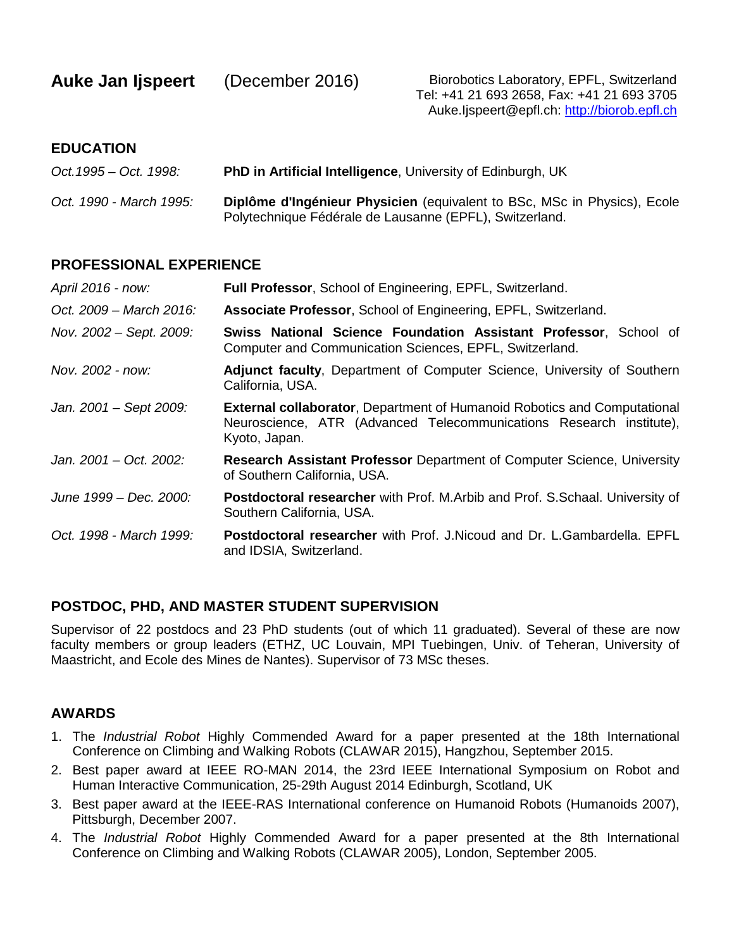| <b>Auke Jan Ijspeert</b> | (December 2016) |
|--------------------------|-----------------|
|--------------------------|-----------------|

Biorobotics Laboratory, EPFL, Switzerland Tel: +41 21 693 2658, Fax: +41 21 693 3705 Auke.Ijspeert@epfl.ch: [http://biorob.epfl.ch](http://biorob.epfl.ch/)

### **EDUCATION**

| Oct. 1995 – Oct. 1998:  | <b>PhD in Artificial Intelligence, University of Edinburgh, UK</b>                                                                  |
|-------------------------|-------------------------------------------------------------------------------------------------------------------------------------|
| Oct. 1990 - March 1995: | Diplôme d'Ingénieur Physicien (equivalent to BSc, MSc in Physics), Ecole<br>Polytechnique Fédérale de Lausanne (EPFL), Switzerland. |

### **PROFESSIONAL EXPERIENCE**

| April 2016 - now:       | Full Professor, School of Engineering, EPFL, Switzerland.                                                                                                               |
|-------------------------|-------------------------------------------------------------------------------------------------------------------------------------------------------------------------|
| Oct. 2009 – March 2016: | Associate Professor, School of Engineering, EPFL, Switzerland.                                                                                                          |
| Nov. 2002 – Sept. 2009: | <b>Swiss National Science Foundation Assistant Professor, School of</b><br>Computer and Communication Sciences, EPFL, Switzerland.                                      |
| Nov. 2002 - now:        | Adjunct faculty, Department of Computer Science, University of Southern<br>California, USA.                                                                             |
| Jan. 2001 - Sept 2009:  | <b>External collaborator, Department of Humanoid Robotics and Computational</b><br>Neuroscience, ATR (Advanced Telecommunications Research institute),<br>Kyoto, Japan. |
| Jan. 2001 – Oct. 2002:  | <b>Research Assistant Professor Department of Computer Science, University</b><br>of Southern California, USA.                                                          |
| June 1999 – Dec. 2000:  | Postdoctoral researcher with Prof. M.Arbib and Prof. S.Schaal. University of<br>Southern California, USA.                                                               |
| Oct. 1998 - March 1999: | <b>Postdoctoral researcher</b> with Prof. J. Nicoud and Dr. L. Gambardella. EPFL<br>and IDSIA, Switzerland.                                                             |

# **POSTDOC, PHD, AND MASTER STUDENT SUPERVISION**

Supervisor of 22 postdocs and 23 PhD students (out of which 11 graduated). Several of these are now faculty members or group leaders (ETHZ, UC Louvain, MPI Tuebingen, Univ. of Teheran, University of Maastricht, and Ecole des Mines de Nantes). Supervisor of 73 MSc theses.

# **AWARDS**

- 1. The *Industrial Robot* Highly Commended Award for a paper presented at the 18th International Conference on Climbing and Walking Robots (CLAWAR 2015), Hangzhou, September 2015.
- 2. Best paper award at IEEE RO-MAN 2014, the 23rd IEEE International Symposium on Robot and Human Interactive Communication, 25-29th August 2014 Edinburgh, Scotland, UK
- 3. Best paper award at the IEEE-RAS International conference on Humanoid Robots (Humanoids 2007), Pittsburgh, December 2007.
- 4. The *Industrial Robot* Highly Commended Award for a paper presented at the 8th International Conference on Climbing and Walking Robots (CLAWAR 2005), London, September 2005.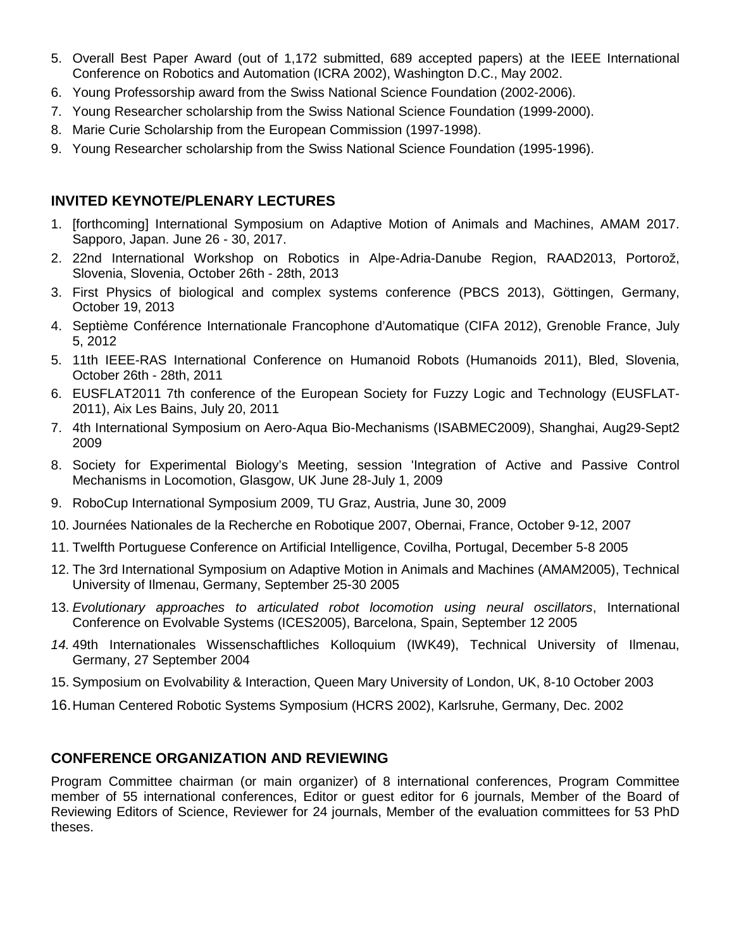- 5. Overall Best Paper Award (out of 1,172 submitted, 689 accepted papers) at the IEEE International Conference on Robotics and Automation (ICRA 2002), Washington D.C., May 2002.
- 6. Young Professorship award from the Swiss National Science Foundation (2002-2006).
- 7. Young Researcher scholarship from the Swiss National Science Foundation (1999-2000).
- 8. Marie Curie Scholarship from the European Commission (1997-1998).
- 9. Young Researcher scholarship from the Swiss National Science Foundation (1995-1996).

# **INVITED KEYNOTE/PLENARY LECTURES**

- 1. [forthcoming] International Symposium on Adaptive Motion of Animals and Machines, AMAM 2017. Sapporo, Japan. June 26 - 30, 2017.
- 2. 22nd International Workshop on Robotics in Alpe-Adria-Danube Region, RAAD2013, Portorož, Slovenia, Slovenia, October 26th - 28th, 2013
- 3. First Physics of biological and complex systems conference (PBCS 2013), Göttingen, Germany, October 19, 2013
- 4. Septième Conférence Internationale Francophone d'Automatique (CIFA 2012), Grenoble France, July 5, 2012
- 5. 11th IEEE-RAS International Conference on Humanoid Robots (Humanoids 2011), Bled, Slovenia, October 26th - 28th, 2011
- 6. EUSFLAT2011 7th conference of the European Society for Fuzzy Logic and Technology (EUSFLAT-2011), Aix Les Bains, July 20, 2011
- 7. 4th International Symposium on Aero-Aqua Bio-Mechanisms (ISABMEC2009), Shanghai, Aug29-Sept2 2009
- 8. Society for Experimental Biology's Meeting, session 'Integration of Active and Passive Control Mechanisms in Locomotion, Glasgow, UK June 28-July 1, 2009
- 9. RoboCup International Symposium 2009, TU Graz, Austria, June 30, 2009
- 10. Journées Nationales de la Recherche en Robotique 2007, Obernai, France, October 9-12, 2007
- 11. Twelfth Portuguese Conference on Artificial Intelligence, Covilha, Portugal, December 5-8 2005
- 12. The 3rd International Symposium on Adaptive Motion in Animals and Machines (AMAM2005), Technical University of Ilmenau, Germany, September 25-30 2005
- 13. *Evolutionary approaches to articulated robot locomotion using neural oscillators*, International Conference on Evolvable Systems (ICES2005), Barcelona, Spain, September 12 2005
- *14.* 49th Internationales Wissenschaftliches Kolloquium (IWK49), Technical University of Ilmenau, Germany, 27 September 2004
- 15. Symposium on Evolvability & Interaction, Queen Mary University of London, UK, 8-10 October 2003
- 16.Human Centered Robotic Systems Symposium (HCRS 2002), Karlsruhe, Germany, Dec. 2002

# **CONFERENCE ORGANIZATION AND REVIEWING**

Program Committee chairman (or main organizer) of 8 international conferences, Program Committee member of 55 international conferences, Editor or guest editor for 6 journals, Member of the Board of Reviewing Editors of Science, Reviewer for 24 journals, Member of the evaluation committees for 53 PhD theses.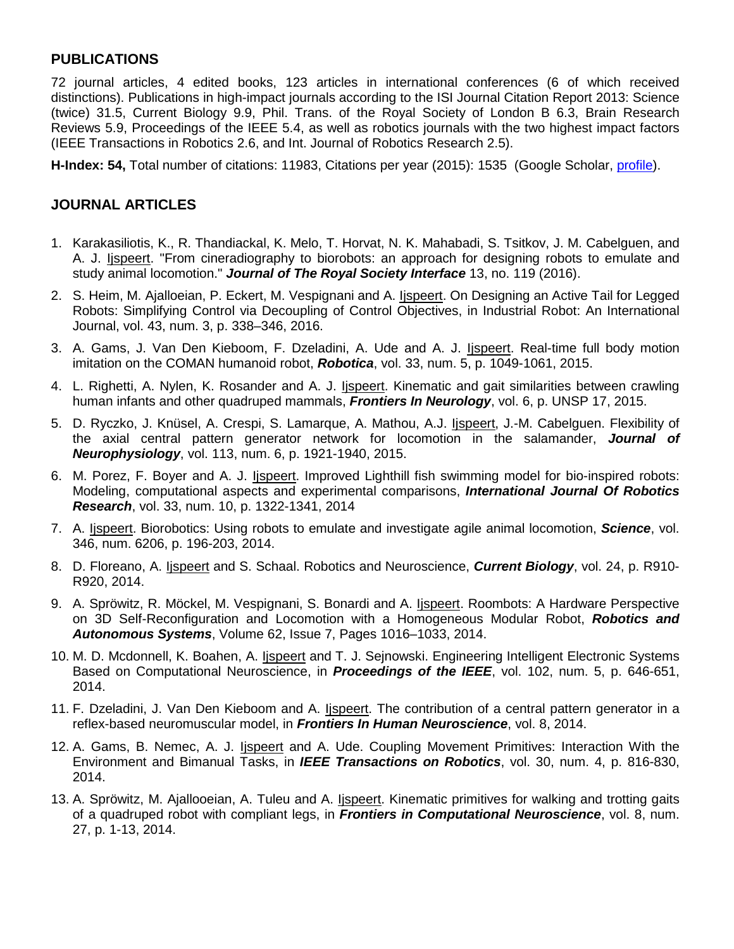# **PUBLICATIONS**

72 journal articles, 4 edited books, 123 articles in international conferences (6 of which received distinctions). Publications in high-impact journals according to the ISI Journal Citation Report 2013: Science (twice) 31.5, Current Biology 9.9, Phil. Trans. of the Royal Society of London B 6.3, Brain Research Reviews 5.9, Proceedings of the IEEE 5.4, as well as robotics journals with the two highest impact factors (IEEE Transactions in Robotics 2.6, and Int. Journal of Robotics Research 2.5).

**H-Index: 54,** Total number of citations: 11983, Citations per year (2015): 1535 (Google Scholar, [profile\)](https://scholar.google.ch/citations?user=ViYx9vMAAAAJ&hl=en).

# **JOURNAL ARTICLES**

- 1. Karakasiliotis, K., R. Thandiackal, K. Melo, T. Horvat, N. K. Mahabadi, S. Tsitkov, J. M. Cabelguen, and A. J. Ijspeert. "From cineradiography to biorobots: an approach for designing robots to emulate and study animal locomotion." *Journal of The Royal Society Interface* 13, no. 119 (2016).
- 2. S. Heim, M. Ajalloeian, P. Eckert, M. Vespignani and A. lispeert. On Designing an Active Tail for Legged Robots: Simplifying Control via Decoupling of Control Objectives, in Industrial Robot: An International Journal, vol. 43, num. 3, p. 338–346, 2016.
- 3. A. Gams, J. Van Den Kieboom, F. Dzeladini, A. Ude and A. J. lispeert. Real-time full body motion imitation on the COMAN humanoid robot, *Robotica*, vol. 33, num. 5, p. 1049-1061, 2015.
- 4. L. Righetti, A. Nylen, K. Rosander and A. J. *Ijspeert*. Kinematic and gait similarities between crawling human infants and other quadruped mammals, *Frontiers In Neurology*, vol. 6, p. UNSP 17, 2015.
- 5. D. Ryczko, J. Knüsel, A. Crespi, S. Lamarque, A. Mathou, A.J. Ijspeert, J.-M. Cabelguen. Flexibility of the axial central pattern generator network for locomotion in the salamander, *Journal of Neurophysiology*, vol. 113, num. 6, p. 1921-1940, 2015.
- 6. M. Porez, F. Boyer and A. J. Ijspeert. Improved Lighthill fish swimming model for bio-inspired robots: Modeling, computational aspects and experimental comparisons, *International Journal Of Robotics Research*, vol. 33, num. 10, p. 1322-1341, 2014
- 7. A. Ijspeert. Biorobotics: Using robots to emulate and investigate agile animal locomotion, *Science*, vol. 346, num. 6206, p. 196-203, 2014.
- 8. D. Floreano, A. Ijspeert and S. Schaal. Robotics and Neuroscience, *Current Biology*, vol. 24, p. R910- R920, 2014.
- 9. A. Spröwitz, R. Möckel, M. Vespignani, S. Bonardi and A. Ijspeert. Roombots: A Hardware Perspective on 3D Self-Reconfiguration and Locomotion with a Homogeneous Modular Robot, *Robotics and Autonomous Systems*, Volume 62, Issue 7, Pages 1016–1033, 2014.
- 10. M. D. Mcdonnell, K. Boahen, A. Ijspeert and T. J. Sejnowski. Engineering Intelligent Electronic Systems Based on Computational Neuroscience, in *Proceedings of the IEEE*, vol. 102, num. 5, p. 646-651, 2014.
- 11. F. Dzeladini, J. Van Den Kieboom and A. *Ijspeert*. The contribution of a central pattern generator in a reflex-based neuromuscular model, in *Frontiers In Human Neuroscience*, vol. 8, 2014.
- 12. A. Gams, B. Nemec, A. J. *Ijspeert* and A. Ude. Coupling Movement Primitives: Interaction With the Environment and Bimanual Tasks, in *IEEE Transactions on Robotics*, vol. 30, num. 4, p. 816-830, 2014.
- 13. A. Spröwitz, M. Ajallooeian, A. Tuleu and A. Ijspeert. Kinematic primitives for walking and trotting gaits of a quadruped robot with compliant legs, in *Frontiers in Computational Neuroscience*, vol. 8, num. 27, p. 1-13, 2014.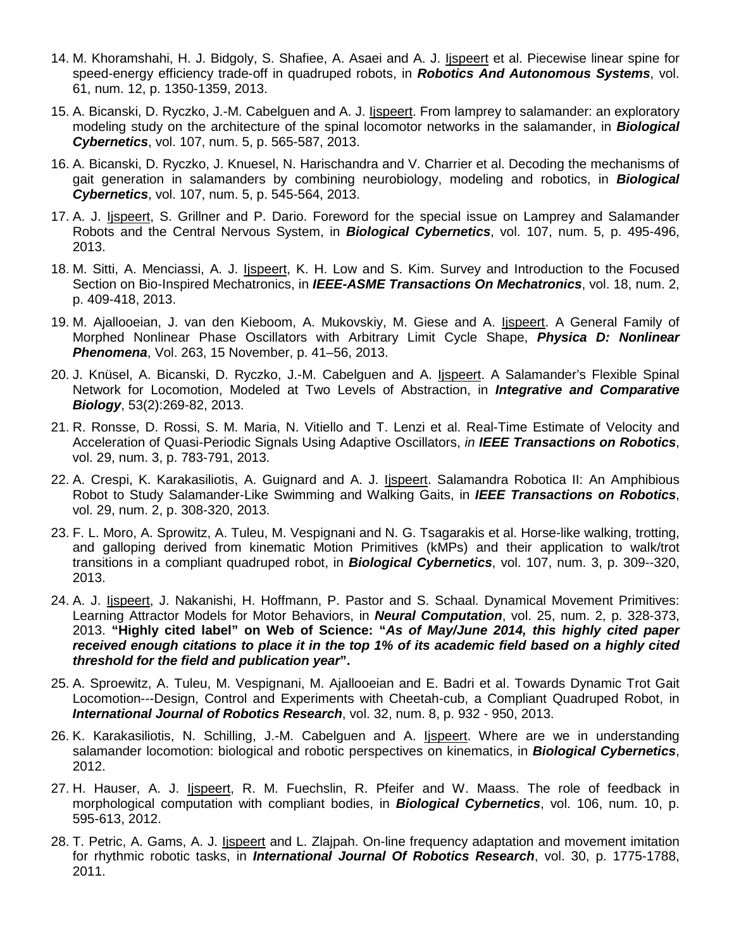- 14. M. Khoramshahi, H. J. Bidgoly, S. Shafiee, A. Asaei and A. J. Ijspeert et al. Piecewise linear spine for speed-energy efficiency trade-off in quadruped robots, in *Robotics And Autonomous Systems*, vol. 61, num. 12, p. 1350-1359, 2013.
- 15. A. Bicanski, D. Ryczko, J.-M. Cabelguen and A. J. *Ispeert*. From lamprey to salamander: an exploratory modeling study on the architecture of the spinal locomotor networks in the salamander, in *Biological Cybernetics*, vol. 107, num. 5, p. 565-587, 2013.
- 16. A. Bicanski, D. Ryczko, J. Knuesel, N. Harischandra and V. Charrier et al. Decoding the mechanisms of gait generation in salamanders by combining neurobiology, modeling and robotics, in *Biological Cybernetics*, vol. 107, num. 5, p. 545-564, 2013.
- 17. A. J. Ijspeert, S. Grillner and P. Dario. Foreword for the special issue on Lamprey and Salamander Robots and the Central Nervous System, in *Biological Cybernetics*, vol. 107, num. 5, p. 495-496, 2013.
- 18. M. Sitti, A. Menciassi, A. J. *Ijspeert*, K. H. Low and S. Kim. Survey and Introduction to the Focused Section on Bio-Inspired Mechatronics, in *IEEE-ASME Transactions On Mechatronics*, vol. 18, num. 2, p. 409-418, 2013.
- 19. M. Ajallooeian, J. van den Kieboom, A. Mukovskiy, M. Giese and A. Ijspeert. A General Family of Morphed Nonlinear Phase Oscillators with Arbitrary Limit Cycle Shape, *Physica D: Nonlinear Phenomena*, Vol. 263, 15 November, p. 41–56, 2013.
- 20. J. Knüsel, A. Bicanski, D. Ryczko, J.-M. Cabelguen and A. lispeert. A Salamander's Flexible Spinal Network for Locomotion, Modeled at Two Levels of Abstraction, in *Integrative and Comparative Biology*, 53(2):269-82, 2013.
- 21. R. Ronsse, D. Rossi, S. M. Maria, N. Vitiello and T. Lenzi et al. Real-Time Estimate of Velocity and Acceleration of Quasi-Periodic Signals Using Adaptive Oscillators, *in IEEE Transactions on Robotics*, vol. 29, num. 3, p. 783-791, 2013.
- 22. A. Crespi, K. Karakasiliotis, A. Guignard and A. J. Ijspeert. Salamandra Robotica II: An Amphibious Robot to Study Salamander-Like Swimming and Walking Gaits, in *IEEE Transactions on Robotics*, vol. 29, num. 2, p. 308-320, 2013.
- 23. F. L. Moro, A. Sprowitz, A. Tuleu, M. Vespignani and N. G. Tsagarakis et al. Horse-like walking, trotting, and galloping derived from kinematic Motion Primitives (kMPs) and their application to walk/trot transitions in a compliant quadruped robot, in *Biological Cybernetics*, vol. 107, num. 3, p. 309--320, 2013.
- 24. A. J. Ijspeert, J. Nakanishi, H. Hoffmann, P. Pastor and S. Schaal. Dynamical Movement Primitives: Learning Attractor Models for Motor Behaviors, in *Neural Computation*, vol. 25, num. 2, p. 328-373, 2013. **"Highly cited label" on Web of Science: "***As of May/June 2014, this highly cited paper received enough citations to place it in the top 1% of its academic field based on a highly cited threshold for the field and publication year***".**
- 25. A. Sproewitz, A. Tuleu, M. Vespignani, M. Ajallooeian and E. Badri et al. Towards Dynamic Trot Gait Locomotion---Design, Control and Experiments with Cheetah-cub, a Compliant Quadruped Robot, in *International Journal of Robotics Research*, vol. 32, num. 8, p. 932 - 950, 2013.
- 26. K. Karakasiliotis, N. Schilling, J.-M. Cabelguen and A. Ijspeert. Where are we in understanding salamander locomotion: biological and robotic perspectives on kinematics, in *Biological Cybernetics*, 2012.
- 27. H. Hauser, A. J. Ijspeert, R. M. Fuechslin, R. Pfeifer and W. Maass. The role of feedback in morphological computation with compliant bodies, in *Biological Cybernetics*, vol. 106, num. 10, p. 595-613, 2012.
- 28. T. Petric, A. Gams, A. J. Ijspeert and L. Zlajpah. On-line frequency adaptation and movement imitation for rhythmic robotic tasks, in *International Journal Of Robotics Research*, vol. 30, p. 1775-1788, 2011.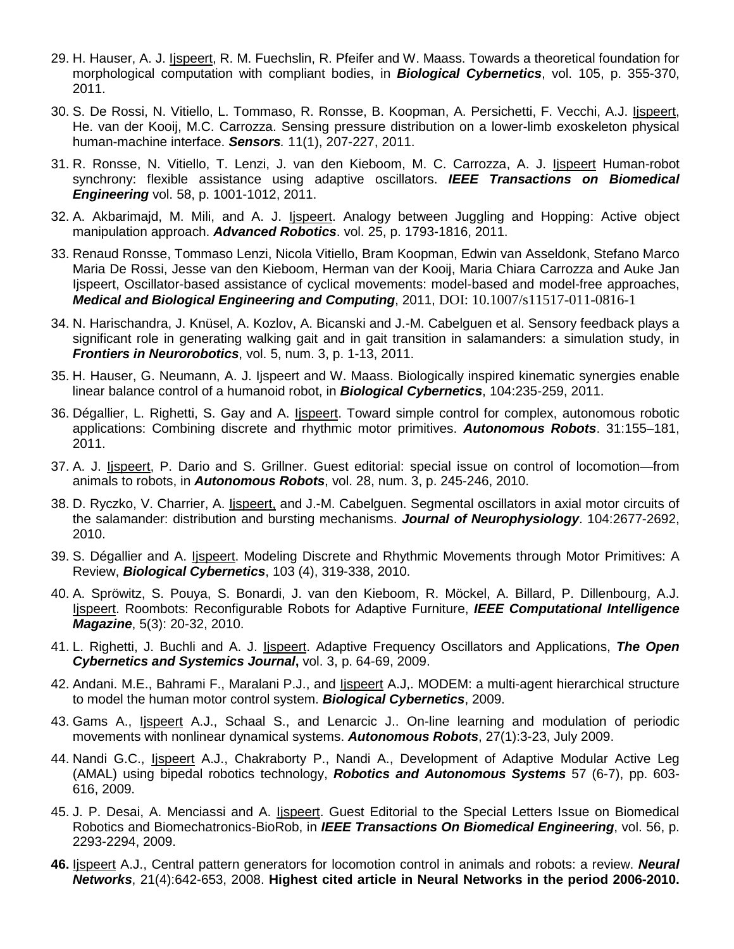- 29. H. Hauser, A. J. Ijspeert, R. M. Fuechslin, R. Pfeifer and W. Maass. Towards a theoretical foundation for morphological computation with compliant bodies, in *Biological Cybernetics*, vol. 105, p. 355-370, 2011.
- 30. S. De Rossi, N. Vitiello, L. Tommaso, R. Ronsse, B. Koopman, A. Persichetti, F. Vecchi, A.J. lispeert, He. van der Kooij, M.C. Carrozza. Sensing pressure distribution on a lower-limb exoskeleton physical human-machine interface. *Sensors.* 11(1), 207-227, 2011.
- 31. R. Ronsse, N. Vitiello, T. Lenzi, J. van den Kieboom, M. C. Carrozza, A. J. Ijspeert Human-robot synchrony: flexible assistance using adaptive oscillators. *IEEE Transactions on Biomedical Engineering* vol. 58, p. 1001-1012, 2011.
- 32. A. Akbarimajd, M. Mili, and A. J. *Ijspeert*. Analogy between Juggling and Hopping: Active object manipulation approach. *Advanced Robotics*. vol. 25, p. 1793-1816, 2011.
- 33. Renaud Ronsse, Tommaso Lenzi, Nicola Vitiello, Bram Koopman, Edwin van Asseldonk, Stefano Marco Maria De Rossi, Jesse van den Kieboom, Herman van der Kooij, Maria Chiara Carrozza and Auke Jan Ijspeert, Oscillator-based assistance of cyclical movements: model-based and model-free approaches, *Medical and Biological Engineering and Computing*, 2011, DOI: 10.1007/s11517-011-0816-1
- 34. N. Harischandra, J. Knüsel, A. Kozlov, A. Bicanski and J.-M. Cabelguen et al. Sensory feedback plays a significant role in generating walking gait and in gait transition in salamanders: a simulation study, in *Frontiers in Neurorobotics*, vol. 5, num. 3, p. 1-13, 2011.
- 35. H. Hauser, G. Neumann, A. J. Ijspeert and W. Maass. Biologically inspired kinematic synergies enable linear balance control of a humanoid robot, in *Biological Cybernetics*, 104:235-259, 2011.
- 36. Dégallier, L. Righetti, S. Gay and A. Ijspeert. Toward simple control for complex, autonomous robotic applications: Combining discrete and rhythmic motor primitives. *Autonomous Robots*. 31:155–181, 2011.
- 37. A. J. Ijspeert, P. Dario and S. Grillner. Guest editorial: special issue on control of locomotion—from animals to robots, in *Autonomous Robots*, vol. 28, num. 3, p. 245-246, 2010.
- 38. D. Ryczko, V. Charrier, A. Ijspeert, and J.-M. Cabelguen. Segmental oscillators in axial motor circuits of the salamander: distribution and bursting mechanisms. *Journal of Neurophysiology*. 104:2677-2692, 2010.
- 39. S. Dégallier and A. Ijspeert. Modeling Discrete and Rhythmic Movements through Motor Primitives: A Review, *Biological Cybernetics*, 103 (4), 319-338, 2010.
- 40. A. Spröwitz, S. Pouya, S. Bonardi, J. van den Kieboom, R. Möckel, A. Billard, P. Dillenbourg, A.J. Ijspeert. Roombots: Reconfigurable Robots for Adaptive Furniture, *IEEE Computational Intelligence Magazine*, 5(3): 20-32, 2010.
- 41. L. Righetti, J. Buchli and A. J. Ijspeert. Adaptive Frequency Oscillators and Applications, *The Open Cybernetics and Systemics Journal***,** vol. 3, p. 64-69, 2009.
- 42. Andani. M.E., Bahrami F., Maralani P.J., and lispeert A.J,. MODEM: a multi-agent hierarchical structure to model the human motor control system. *Biological Cybernetics*, 2009.
- 43. Gams A., *Ispeert A.J.*, Schaal S., and Lenarcic J.. On-line learning and modulation of periodic movements with nonlinear dynamical systems. *Autonomous Robots*, 27(1):3-23, July 2009.
- 44. Nandi G.C., Ijspeert A.J., Chakraborty P., Nandi A., Development of Adaptive Modular Active Leg (AMAL) using bipedal robotics technology, *Robotics and Autonomous Systems* 57 (6-7), pp. 603- 616, 2009.
- 45. J. P. Desai, A. Menciassi and A. Ijspeert. Guest Editorial to the Special Letters Issue on Biomedical Robotics and Biomechatronics-BioRob, in *IEEE Transactions On Biomedical Engineering*, vol. 56, p. 2293-2294, 2009.
- **46.** Ijspeert A.J., Central pattern generators for locomotion control in animals and robots: a review. *Neural Networks*, 21(4):642-653, 2008. **Highest cited article in Neural Networks in the period 2006-2010.**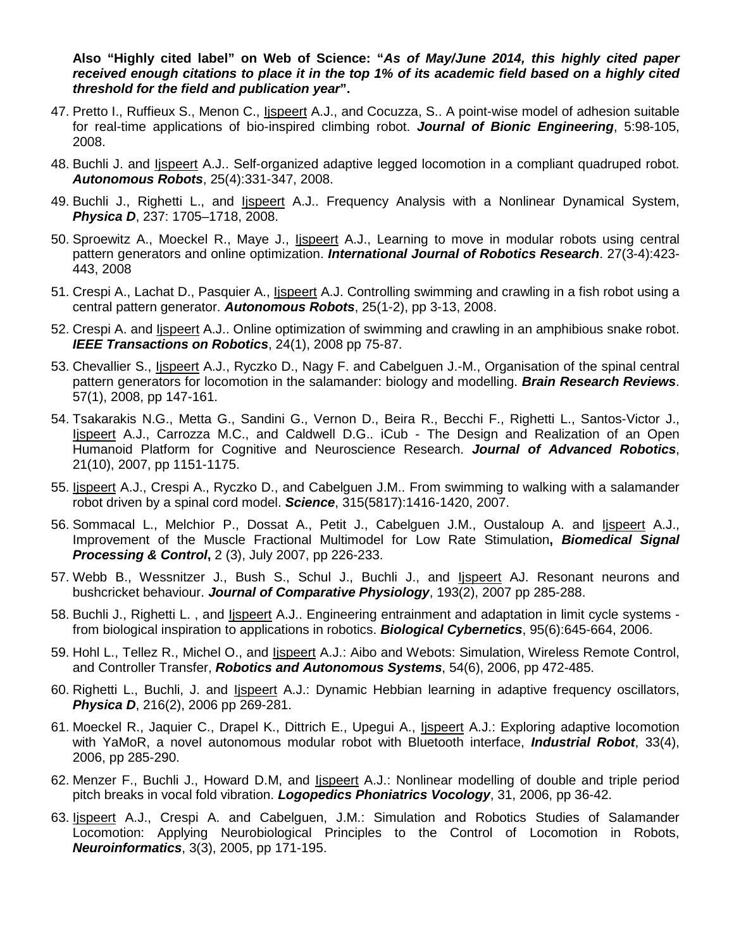**Also "Highly cited label" on Web of Science: "***As of May/June 2014, this highly cited paper received enough citations to place it in the top 1% of its academic field based on a highly cited threshold for the field and publication year***".**

- 47. Pretto I., Ruffieux S., Menon C., *Ispeert* A.J., and Cocuzza, S.. A point-wise model of adhesion suitable for real-time applications of bio-inspired climbing robot. *Journal of Bionic Engineering*, 5:98-105, 2008.
- 48. Buchli J. and Ijspeert A.J.. Self-organized adaptive legged locomotion in a compliant quadruped robot. *Autonomous Robots*, 25(4):331-347, 2008.
- 49. Buchli J., Righetti L., and Ijspeert A.J.. Frequency Analysis with a Nonlinear Dynamical System, *Physica D*, 237: 1705–1718, 2008.
- 50. Sproewitz A., Moeckel R., Maye J., Ijspeert A.J., Learning to move in modular robots using central pattern generators and online optimization. *International Journal of Robotics Research*. 27(3-4):423- 443, 2008
- 51. Crespi A., Lachat D., Pasquier A., Ijspeert A.J. Controlling swimming and crawling in a fish robot using a central pattern generator. *Autonomous Robots*, 25(1-2), pp 3-13, 2008.
- 52. Crespi A. and Ijspeert A.J.. Online optimization of swimming and crawling in an amphibious snake robot. *IEEE Transactions on Robotics*, 24(1), 2008 pp 75-87.
- 53. Chevallier S., Ijspeert A.J., Ryczko D., Nagy F. and Cabelguen J.-M., Organisation of the spinal central pattern generators for locomotion in the salamander: biology and modelling. *Brain Research Reviews*. 57(1), 2008, pp 147-161.
- 54. Tsakarakis N.G., Metta G., Sandini G., Vernon D., Beira R., Becchi F., Righetti L., Santos-Victor J., Ijspeert A.J., Carrozza M.C., and Caldwell D.G.. iCub - The Design and Realization of an Open Humanoid Platform for Cognitive and Neuroscience Research. *Journal of Advanced Robotics*, 21(10), 2007, pp 1151-1175.
- 55. Ijspeert A.J., Crespi A., Ryczko D., and Cabelguen J.M.. From swimming to walking with a salamander robot driven by a spinal cord model. *Science*, 315(5817):1416-1420, 2007.
- 56. Sommacal L., Melchior P., Dossat A., Petit J., Cabelguen J.M., Oustaloup A. and lispeert A.J., Improvement of the Muscle Fractional Multimodel for Low Rate Stimulation**,** *Biomedical Signal Processing & Control***,** 2 (3), July 2007, pp 226-233.
- 57. Webb B., Wessnitzer J., Bush S., Schul J., Buchli J., and Ijspeert AJ. Resonant neurons and bushcricket behaviour. *Journal of Comparative Physiology*, 193(2), 2007 pp 285-288.
- 58. Buchli J., Righetti L. , and Ijspeert A.J.. Engineering entrainment and adaptation in limit cycle systems from biological inspiration to applications in robotics. *Biological Cybernetics*, 95(6):645-664, 2006.
- 59. Hohl L., Tellez R., Michel O., and Ijspeert A.J.: Aibo and Webots: Simulation, Wireless Remote Control, and Controller Transfer, *Robotics and Autonomous Systems*, 54(6), 2006, pp 472-485.
- 60. Righetti L., Buchli, J. and *Ispeert A.J.: Dynamic Hebbian learning in adaptive frequency oscillators*, *Physica D*, 216(2), 2006 pp 269-281.
- 61. Moeckel R., Jaquier C., Drapel K., Dittrich E., Upegui A., lispeert A.J.: Exploring adaptive locomotion with YaMoR, a novel autonomous modular robot with Bluetooth interface, *Industrial Robot*, 33(4), 2006, pp 285-290.
- 62. Menzer F., Buchli J., Howard D.M, and Ijspeert A.J.: Nonlinear modelling of double and triple period pitch breaks in vocal fold vibration. *Logopedics Phoniatrics Vocology*, 31, 2006, pp 36-42.
- 63. Ijspeert A.J., Crespi A. and Cabelguen, J.M.: Simulation and Robotics Studies of Salamander Locomotion: Applying Neurobiological Principles to the Control of Locomotion in Robots, *Neuroinformatics*, 3(3), 2005, pp 171-195.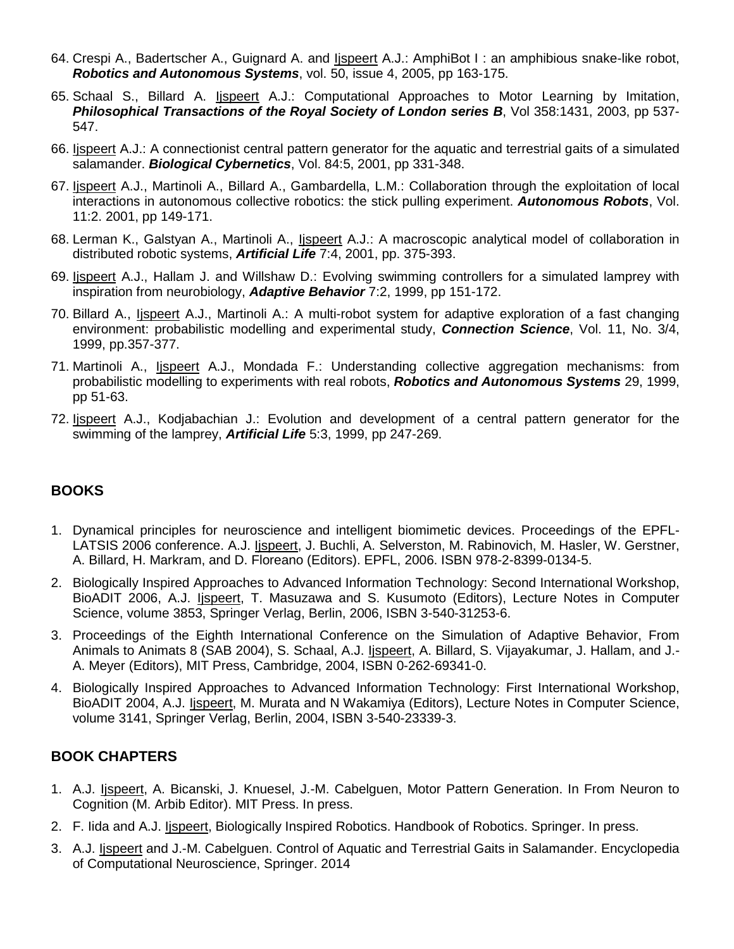- 64. Crespi A., Badertscher A., Guignard A. and Ijspeert A.J.: AmphiBot I : an amphibious snake-like robot, *Robotics and Autonomous Systems*, vol. 50, issue 4, 2005, pp 163-175.
- 65. Schaal S., Billard A. Ijspeert A.J.: Computational Approaches to Motor Learning by Imitation, *Philosophical Transactions of the Royal Society of London series B*, Vol 358:1431, 2003, pp 537- 547.
- 66. Ijspeert A.J.: A connectionist central pattern generator for the aquatic and terrestrial gaits of a simulated salamander. *Biological Cybernetics*, Vol. 84:5, 2001, pp 331-348.
- 67. Ijspeert A.J., Martinoli A., Billard A., Gambardella, L.M.: Collaboration through the exploitation of local interactions in autonomous collective robotics: the stick pulling experiment. *Autonomous Robots*, Vol. 11:2. 2001, pp 149-171.
- 68. Lerman K., Galstyan A., Martinoli A., Ijspeert A.J.: A macroscopic analytical model of collaboration in distributed robotic systems, *Artificial Life* 7:4, 2001, pp. 375-393.
- 69. Ijspeert A.J., Hallam J. and Willshaw D.: Evolving swimming controllers for a simulated lamprey with inspiration from neurobiology, *Adaptive Behavior* 7:2, 1999, pp 151-172.
- 70. Billard A., Ijspeert A.J., Martinoli A.: A multi-robot system for adaptive exploration of a fast changing environment: probabilistic modelling and experimental study, *Connection Science*, Vol. 11, No. 3/4, 1999, pp.357-377.
- 71. Martinoli A., Ijspeert A.J., Mondada F.: Understanding collective aggregation mechanisms: from probabilistic modelling to experiments with real robots, *Robotics and Autonomous Systems* 29, 1999, pp 51-63.
- 72. Ijspeert A.J., Kodjabachian J.: Evolution and development of a central pattern generator for the swimming of the lamprey, *Artificial Life* 5:3, 1999, pp 247-269.

# **BOOKS**

- 1. Dynamical principles for neuroscience and intelligent biomimetic devices. Proceedings of the EPFL-LATSIS 2006 conference. A.J. lispeert, J. Buchli, A. Selverston, M. Rabinovich, M. Hasler, W. Gerstner, A. Billard, H. Markram, and D. Floreano (Editors). EPFL, 2006. ISBN 978-2-8399-0134-5.
- 2. Biologically Inspired Approaches to Advanced Information Technology: Second International Workshop, BioADIT 2006, A.J. Ijspeert, T. Masuzawa and S. Kusumoto (Editors), Lecture Notes in Computer Science, volume 3853, Springer Verlag, Berlin, 2006, ISBN 3-540-31253-6.
- 3. Proceedings of the Eighth International Conference on the Simulation of Adaptive Behavior, From Animals to Animats 8 (SAB 2004), S. Schaal, A.J. Ijspeert, A. Billard, S. Vijayakumar, J. Hallam, and J.- A. Meyer (Editors), MIT Press, Cambridge, 2004, ISBN 0-262-69341-0.
- 4. Biologically Inspired Approaches to Advanced Information Technology: First International Workshop, BioADIT 2004, A.J. Ijspeert, M. Murata and N Wakamiya (Editors), Lecture Notes in Computer Science, volume 3141, Springer Verlag, Berlin, 2004, ISBN 3-540-23339-3.

# **BOOK CHAPTERS**

- 1. A.J. Ijspeert, A. Bicanski, J. Knuesel, J.-M. Cabelguen, Motor Pattern Generation. In From Neuron to Cognition (M. Arbib Editor). MIT Press. In press.
- 2. F. Iida and A.J. Ijspeert, Biologically Inspired Robotics. Handbook of Robotics. Springer. In press.
- 3. A.J. Ijspeert and J.-M. Cabelguen. Control of Aquatic and Terrestrial Gaits in Salamander. Encyclopedia of Computational Neuroscience, Springer. 2014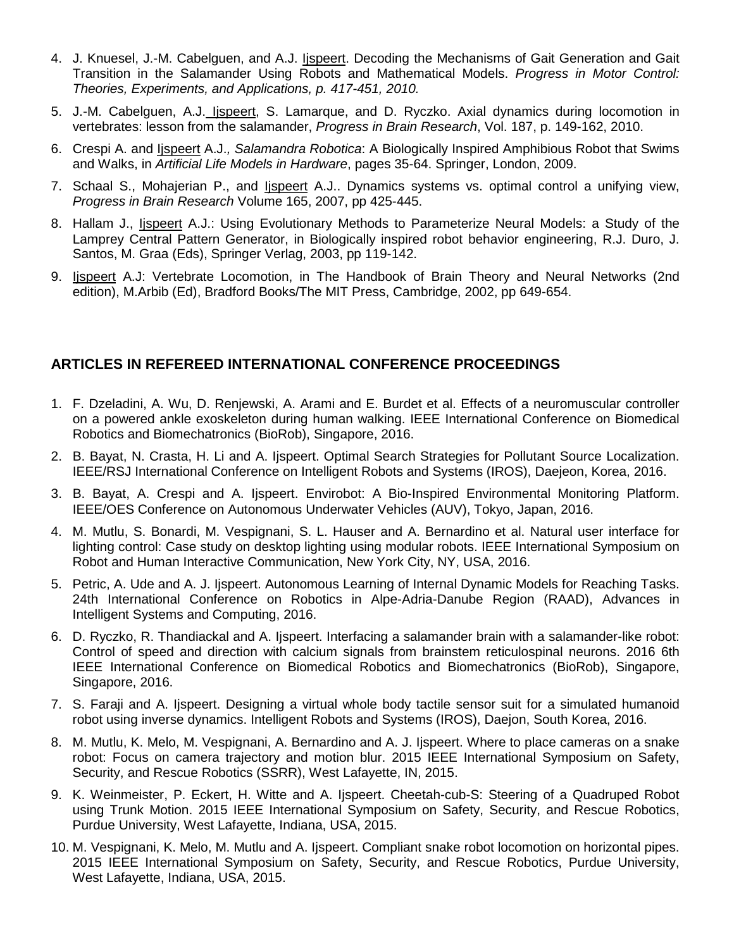- 4. J. Knuesel, J.-M. Cabelguen, and A.J. Ijspeert. Decoding the Mechanisms of Gait Generation and Gait Transition in the Salamander Using Robots and Mathematical Models. *Progress in Motor Control: Theories, Experiments, and Applications, p. 417-451, 2010.*
- 5. J.-M. Cabelguen, A.J. lispeert, S. Lamarque, and D. Ryczko. Axial dynamics during locomotion in vertebrates: lesson from the salamander, *Progress in Brain Research*, Vol. 187, p. 149-162, 2010.
- 6. Crespi A. and Ijspeert A.J.*, Salamandra Robotica*: A Biologically Inspired Amphibious Robot that Swims and Walks, in *Artificial Life Models in Hardware*, pages 35-64. Springer, London, 2009.
- 7. Schaal S., Mohajerian P., and Ijspeert A.J.. Dynamics systems vs. optimal control a unifying view, *Progress in Brain Research* Volume 165, 2007, pp 425-445.
- 8. Hallam J., Ijspeert A.J.: Using Evolutionary Methods to Parameterize Neural Models: a Study of the Lamprey Central Pattern Generator, in Biologically inspired robot behavior engineering, R.J. Duro, J. Santos, M. Graa (Eds), Springer Verlag, 2003, pp 119-142.
- 9. Ijspeert A.J: Vertebrate Locomotion, in The Handbook of Brain Theory and Neural Networks (2nd edition), M.Arbib (Ed), Bradford Books/The MIT Press, Cambridge, 2002, pp 649-654.

# **ARTICLES IN REFEREED INTERNATIONAL CONFERENCE PROCEEDINGS**

- 1. F. Dzeladini, A. Wu, D. Renjewski, A. Arami and E. Burdet et al. Effects of a neuromuscular controller on a powered ankle exoskeleton during human walking. IEEE International Conference on Biomedical Robotics and Biomechatronics (BioRob), Singapore, 2016.
- 2. B. Bayat, N. Crasta, H. Li and A. Ijspeert. Optimal Search Strategies for Pollutant Source Localization. IEEE/RSJ International Conference on Intelligent Robots and Systems (IROS), Daejeon, Korea, 2016.
- 3. B. Bayat, A. Crespi and A. Ijspeert. Envirobot: A Bio-Inspired Environmental Monitoring Platform. IEEE/OES Conference on Autonomous Underwater Vehicles (AUV), Tokyo, Japan, 2016.
- 4. M. Mutlu, S. Bonardi, M. Vespignani, S. L. Hauser and A. Bernardino et al. Natural user interface for lighting control: Case study on desktop lighting using modular robots. IEEE International Symposium on Robot and Human Interactive Communication, New York City, NY, USA, 2016.
- 5. Petric, A. Ude and A. J. Ijspeert. Autonomous Learning of Internal Dynamic Models for Reaching Tasks. 24th International Conference on Robotics in Alpe-Adria-Danube Region (RAAD), Advances in Intelligent Systems and Computing, 2016.
- 6. D. Ryczko, R. Thandiackal and A. Ijspeert. Interfacing a salamander brain with a salamander-like robot: Control of speed and direction with calcium signals from brainstem reticulospinal neurons. 2016 6th IEEE International Conference on Biomedical Robotics and Biomechatronics (BioRob), Singapore, Singapore, 2016.
- 7. S. Faraji and A. Ijspeert. Designing a virtual whole body tactile sensor suit for a simulated humanoid robot using inverse dynamics. Intelligent Robots and Systems (IROS), Daejon, South Korea, 2016.
- 8. M. Mutlu, K. Melo, M. Vespignani, A. Bernardino and A. J. Ijspeert. Where to place cameras on a snake robot: Focus on camera trajectory and motion blur. 2015 IEEE International Symposium on Safety, Security, and Rescue Robotics (SSRR), West Lafayette, IN, 2015.
- 9. K. Weinmeister, P. Eckert, H. Witte and A. Ijspeert. Cheetah-cub-S: Steering of a Quadruped Robot using Trunk Motion. 2015 IEEE International Symposium on Safety, Security, and Rescue Robotics, Purdue University, West Lafayette, Indiana, USA, 2015.
- 10. M. Vespignani, K. Melo, M. Mutlu and A. Ijspeert. Compliant snake robot locomotion on horizontal pipes. 2015 IEEE International Symposium on Safety, Security, and Rescue Robotics, Purdue University, West Lafayette, Indiana, USA, 2015.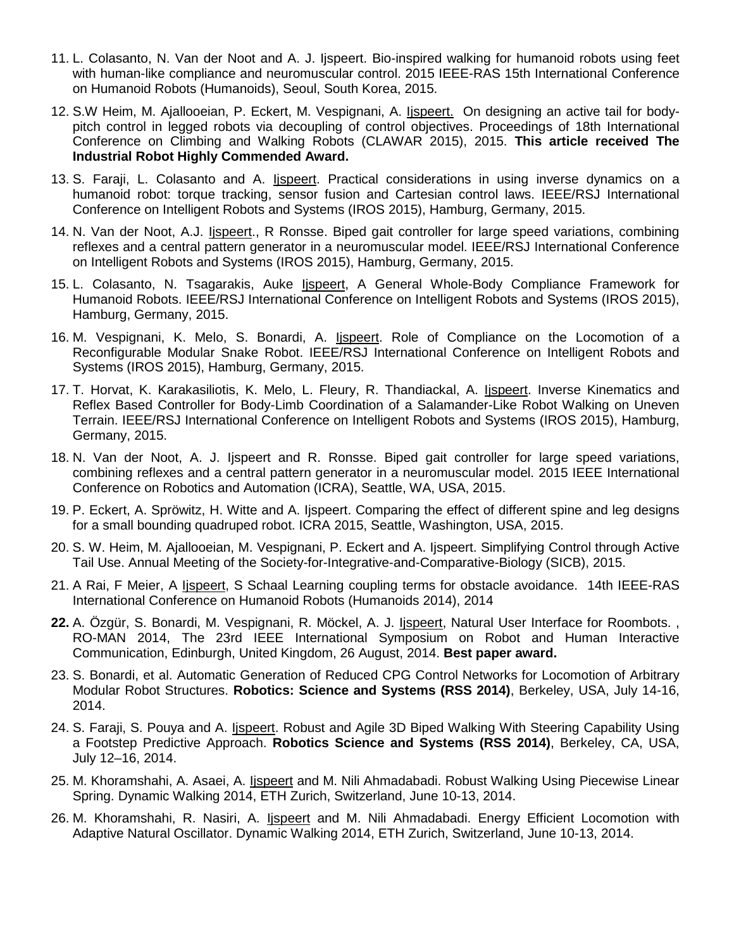- 11. L. Colasanto, N. Van der Noot and A. J. Ijspeert. Bio-inspired walking for humanoid robots using feet with human-like compliance and neuromuscular control. 2015 IEEE-RAS 15th International Conference on Humanoid Robots (Humanoids), Seoul, South Korea, 2015.
- 12. S.W Heim, M. Ajallooeian, P. Eckert, M. Vespignani, A. Ijspeert. On designing an active tail for bodypitch control in legged robots via decoupling of control objectives. Proceedings of 18th International Conference on Climbing and Walking Robots (CLAWAR 2015), 2015. **This article received The Industrial Robot Highly Commended Award.**
- 13. S. Faraji, L. Colasanto and A. Ijspeert. Practical considerations in using inverse dynamics on a humanoid robot: torque tracking, sensor fusion and Cartesian control laws. IEEE/RSJ International Conference on Intelligent Robots and Systems (IROS 2015), Hamburg, Germany, 2015.
- 14. N. Van der Noot, A.J. Ijspeert., R Ronsse. Biped gait controller for large speed variations, combining reflexes and a central pattern generator in a neuromuscular model. IEEE/RSJ International Conference on Intelligent Robots and Systems (IROS 2015), Hamburg, Germany, 2015.
- 15. L. Colasanto, N. Tsagarakis, Auke Ijspeert, A General Whole-Body Compliance Framework for Humanoid Robots. IEEE/RSJ International Conference on Intelligent Robots and Systems (IROS 2015), Hamburg, Germany, 2015.
- 16. M. Vespignani, K. Melo, S. Bonardi, A. Ijspeert. Role of Compliance on the Locomotion of a Reconfigurable Modular Snake Robot. IEEE/RSJ International Conference on Intelligent Robots and Systems (IROS 2015), Hamburg, Germany, 2015.
- 17. T. Horvat, K. Karakasiliotis, K. Melo, L. Fleury, R. Thandiackal, A. Ijspeert. Inverse Kinematics and Reflex Based Controller for Body-Limb Coordination of a Salamander-Like Robot Walking on Uneven Terrain. IEEE/RSJ International Conference on Intelligent Robots and Systems (IROS 2015), Hamburg, Germany, 2015.
- 18. N. Van der Noot, A. J. Ijspeert and R. Ronsse. Biped gait controller for large speed variations, combining reflexes and a central pattern generator in a neuromuscular model. 2015 IEEE International Conference on Robotics and Automation (ICRA), Seattle, WA, USA, 2015.
- 19. P. Eckert, A. Spröwitz, H. Witte and A. Ijspeert. Comparing the effect of different spine and leg designs for a small bounding quadruped robot. ICRA 2015, Seattle, Washington, USA, 2015.
- 20. S. W. Heim, M. Ajallooeian, M. Vespignani, P. Eckert and A. Ijspeert. Simplifying Control through Active Tail Use. Annual Meeting of the Society-for-Integrative-and-Comparative-Biology (SICB), 2015.
- 21. A Rai, F Meier, A lispeert, S Schaal Learning coupling terms for obstacle avoidance. 14th IEEE-RAS International Conference on Humanoid Robots (Humanoids 2014), 2014
- **22.** A. Özgür, S. Bonardi, M. Vespignani, R. Möckel, A. J. Ijspeert, Natural User Interface for Roombots. , RO-MAN 2014, The 23rd IEEE International Symposium on Robot and Human Interactive Communication, Edinburgh, United Kingdom, 26 August, 2014. **Best paper award.**
- 23. S. Bonardi, et al. Automatic Generation of Reduced CPG Control Networks for Locomotion of Arbitrary Modular Robot Structures. **Robotics: Science and Systems (RSS 2014)**, Berkeley, USA, July 14-16, 2014.
- 24. S. Faraji, S. Pouya and A. *Ispeert*. Robust and Agile 3D Biped Walking With Steering Capability Using a Footstep Predictive Approach. **Robotics Science and Systems (RSS 2014)**, Berkeley, CA, USA, July 12–16, 2014.
- 25. M. Khoramshahi, A. Asaei, A. Ijspeert and M. Nili Ahmadabadi. Robust Walking Using Piecewise Linear Spring. Dynamic Walking 2014, ETH Zurich, Switzerland, June 10-13, 2014.
- 26. M. Khoramshahi, R. Nasiri, A. Ijspeert and M. Nili Ahmadabadi. Energy Efficient Locomotion with Adaptive Natural Oscillator. Dynamic Walking 2014, ETH Zurich, Switzerland, June 10-13, 2014.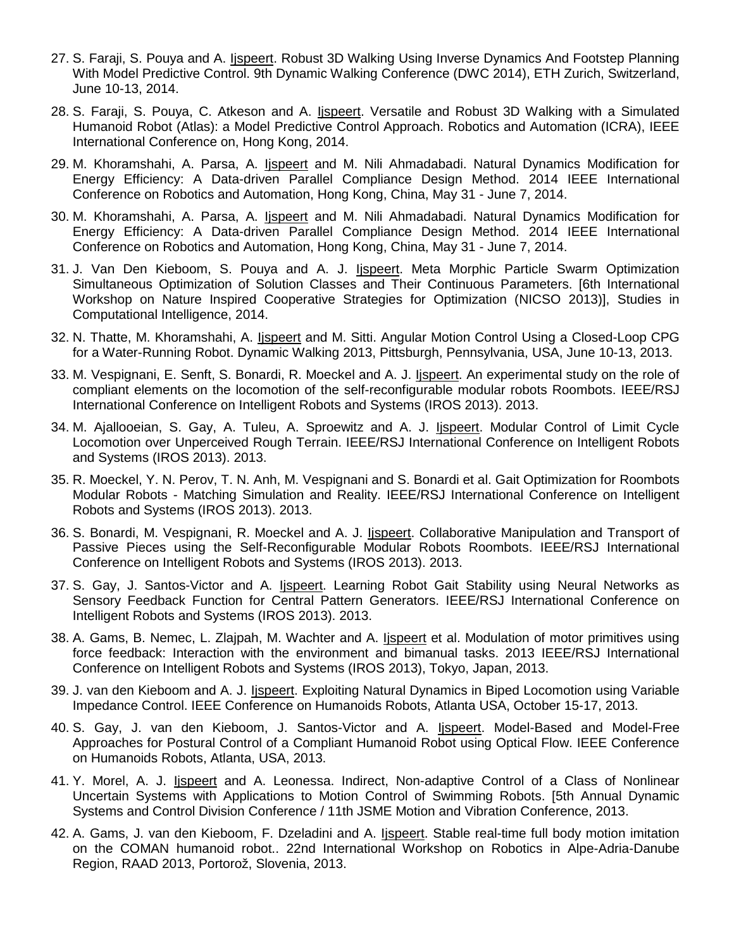- 27. S. Faraji, S. Pouya and A. Ijspeert. Robust 3D Walking Using Inverse Dynamics And Footstep Planning With Model Predictive Control. 9th Dynamic Walking Conference (DWC 2014), ETH Zurich, Switzerland, June 10-13, 2014.
- 28. S. Faraji, S. Pouya, C. Atkeson and A. *Ijspeert*. Versatile and Robust 3D Walking with a Simulated Humanoid Robot (Atlas): a Model Predictive Control Approach. Robotics and Automation (ICRA), IEEE International Conference on, Hong Kong, 2014.
- 29. M. Khoramshahi, A. Parsa, A. Ijspeert and M. Nili Ahmadabadi. Natural Dynamics Modification for Energy Efficiency: A Data-driven Parallel Compliance Design Method. 2014 IEEE International Conference on Robotics and Automation, Hong Kong, China, May 31 - June 7, 2014.
- 30. M. Khoramshahi, A. Parsa, A. Ijspeert and M. Nili Ahmadabadi. Natural Dynamics Modification for Energy Efficiency: A Data-driven Parallel Compliance Design Method. 2014 IEEE International Conference on Robotics and Automation, Hong Kong, China, May 31 - June 7, 2014.
- 31. J. Van Den Kieboom, S. Pouya and A. J. *Ispeert*. Meta Morphic Particle Swarm Optimization Simultaneous Optimization of Solution Classes and Their Continuous Parameters. [6th International Workshop on Nature Inspired Cooperative Strategies for Optimization (NICSO 2013)], Studies in Computational Intelligence, 2014.
- 32. N. Thatte, M. Khoramshahi, A. Ijspeert and M. Sitti. Angular Motion Control Using a Closed-Loop CPG for a Water-Running Robot. Dynamic Walking 2013, Pittsburgh, Pennsylvania, USA, June 10-13, 2013.
- 33. M. Vespignani, E. Senft, S. Bonardi, R. Moeckel and A. J. lispeert. An experimental study on the role of compliant elements on the locomotion of the self-reconfigurable modular robots Roombots. IEEE/RSJ International Conference on Intelligent Robots and Systems (IROS 2013). 2013.
- 34. M. Ajallooeian, S. Gay, A. Tuleu, A. Sproewitz and A. J. Ijspeert. Modular Control of Limit Cycle Locomotion over Unperceived Rough Terrain. IEEE/RSJ International Conference on Intelligent Robots and Systems (IROS 2013). 2013.
- 35. R. Moeckel, Y. N. Perov, T. N. Anh, M. Vespignani and S. Bonardi et al. Gait Optimization for Roombots Modular Robots - Matching Simulation and Reality. IEEE/RSJ International Conference on Intelligent Robots and Systems (IROS 2013). 2013.
- 36. S. Bonardi, M. Vespignani, R. Moeckel and A. J. lispeert. Collaborative Manipulation and Transport of Passive Pieces using the Self-Reconfigurable Modular Robots Roombots. IEEE/RSJ International Conference on Intelligent Robots and Systems (IROS 2013). 2013.
- 37. S. Gay, J. Santos-Victor and A. Ijspeert. Learning Robot Gait Stability using Neural Networks as Sensory Feedback Function for Central Pattern Generators. IEEE/RSJ International Conference on Intelligent Robots and Systems (IROS 2013). 2013.
- 38. A. Gams, B. Nemec, L. Zlajpah, M. Wachter and A. Ijspeert et al. Modulation of motor primitives using force feedback: Interaction with the environment and bimanual tasks. 2013 IEEE/RSJ International Conference on Intelligent Robots and Systems (IROS 2013), Tokyo, Japan, 2013.
- 39. J. van den Kieboom and A. J. Ijspeert. Exploiting Natural Dynamics in Biped Locomotion using Variable Impedance Control. IEEE Conference on Humanoids Robots, Atlanta USA, October 15-17, 2013.
- 40. S. Gay, J. van den Kieboom, J. Santos-Victor and A. lispeert. Model-Based and Model-Free Approaches for Postural Control of a Compliant Humanoid Robot using Optical Flow. IEEE Conference on Humanoids Robots, Atlanta, USA, 2013.
- 41. Y. Morel, A. J. Ijspeert and A. Leonessa. Indirect, Non-adaptive Control of a Class of Nonlinear Uncertain Systems with Applications to Motion Control of Swimming Robots. [5th Annual Dynamic Systems and Control Division Conference / 11th JSME Motion and Vibration Conference, 2013.
- 42. A. Gams, J. van den Kieboom, F. Dzeladini and A. Ijspeert. Stable real-time full body motion imitation on the COMAN humanoid robot.. 22nd International Workshop on Robotics in Alpe-Adria-Danube Region, RAAD 2013, Portorož, Slovenia, 2013.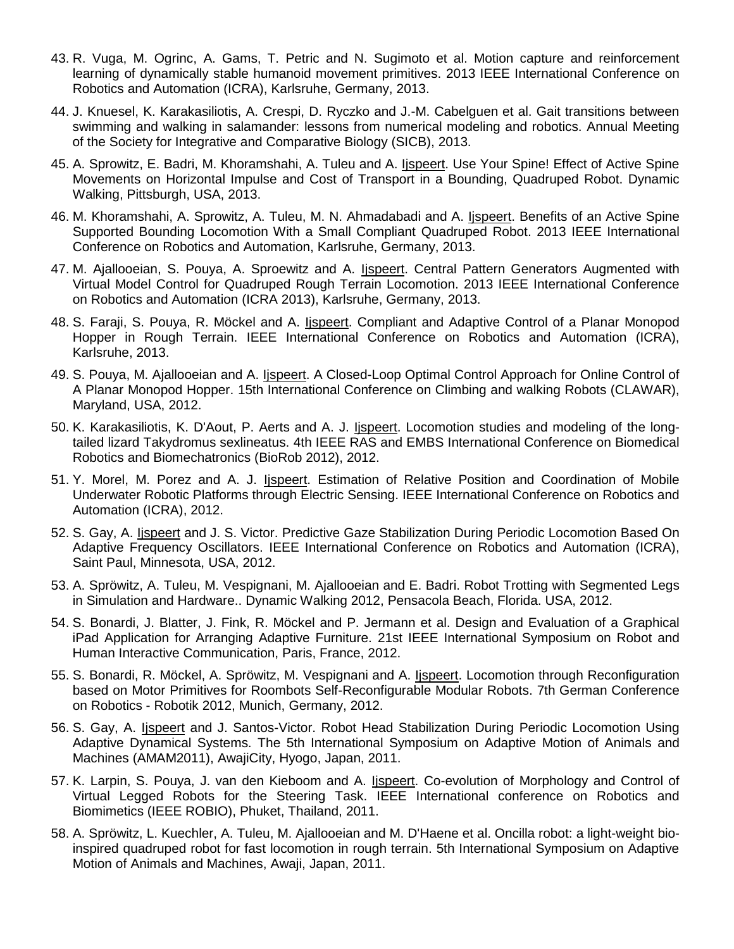- 43. R. Vuga, M. Ogrinc, A. Gams, T. Petric and N. Sugimoto et al. Motion capture and reinforcement learning of dynamically stable humanoid movement primitives. 2013 IEEE International Conference on Robotics and Automation (ICRA), Karlsruhe, Germany, 2013.
- 44. J. Knuesel, K. Karakasiliotis, A. Crespi, D. Ryczko and J.-M. Cabelguen et al. Gait transitions between swimming and walking in salamander: lessons from numerical modeling and robotics. Annual Meeting of the Society for Integrative and Comparative Biology (SICB), 2013.
- 45. A. Sprowitz, E. Badri, M. Khoramshahi, A. Tuleu and A. Ijspeert. Use Your Spine! Effect of Active Spine Movements on Horizontal Impulse and Cost of Transport in a Bounding, Quadruped Robot. Dynamic Walking, Pittsburgh, USA, 2013.
- 46. M. Khoramshahi, A. Sprowitz, A. Tuleu, M. N. Ahmadabadi and A. Ijspeert. Benefits of an Active Spine Supported Bounding Locomotion With a Small Compliant Quadruped Robot. 2013 IEEE International Conference on Robotics and Automation, Karlsruhe, Germany, 2013.
- 47. M. Ajallooeian, S. Pouya, A. Sproewitz and A. Ijspeert. Central Pattern Generators Augmented with Virtual Model Control for Quadruped Rough Terrain Locomotion. 2013 IEEE International Conference on Robotics and Automation (ICRA 2013), Karlsruhe, Germany, 2013.
- 48. S. Faraji, S. Pouya, R. Möckel and A. Ijspeert. Compliant and Adaptive Control of a Planar Monopod Hopper in Rough Terrain. IEEE International Conference on Robotics and Automation (ICRA), Karlsruhe, 2013.
- 49. S. Pouya, M. Ajallooeian and A. Ijspeert. A Closed-Loop Optimal Control Approach for Online Control of A Planar Monopod Hopper. 15th International Conference on Climbing and walking Robots (CLAWAR), Maryland, USA, 2012.
- 50. K. Karakasiliotis, K. D'Aout, P. Aerts and A. J. lispeert. Locomotion studies and modeling of the longtailed lizard Takydromus sexlineatus. 4th IEEE RAS and EMBS International Conference on Biomedical Robotics and Biomechatronics (BioRob 2012), 2012.
- 51. Y. Morel, M. Porez and A. J. Ijspeert. Estimation of Relative Position and Coordination of Mobile Underwater Robotic Platforms through Electric Sensing. IEEE International Conference on Robotics and Automation (ICRA), 2012.
- 52. S. Gay, A. Ijspeert and J. S. Victor. Predictive Gaze Stabilization During Periodic Locomotion Based On Adaptive Frequency Oscillators. IEEE International Conference on Robotics and Automation (ICRA), Saint Paul, Minnesota, USA, 2012.
- 53. A. Spröwitz, A. Tuleu, M. Vespignani, M. Ajallooeian and E. Badri. Robot Trotting with Segmented Legs in Simulation and Hardware.. Dynamic Walking 2012, Pensacola Beach, Florida. USA, 2012.
- 54. S. Bonardi, J. Blatter, J. Fink, R. Möckel and P. Jermann et al. Design and Evaluation of a Graphical iPad Application for Arranging Adaptive Furniture. 21st IEEE International Symposium on Robot and Human Interactive Communication, Paris, France, 2012.
- 55. S. Bonardi, R. Möckel, A. Spröwitz, M. Vespignani and A. Ijspeert. Locomotion through Reconfiguration based on Motor Primitives for Roombots Self-Reconfigurable Modular Robots. 7th German Conference on Robotics - Robotik 2012, Munich, Germany, 2012.
- 56. S. Gay, A. Ijspeert and J. Santos-Victor. Robot Head Stabilization During Periodic Locomotion Using Adaptive Dynamical Systems. The 5th International Symposium on Adaptive Motion of Animals and Machines (AMAM2011), AwajiCity, Hyogo, Japan, 2011.
- 57. K. Larpin, S. Pouya, J. van den Kieboom and A. Ijspeert. Co-evolution of Morphology and Control of Virtual Legged Robots for the Steering Task. IEEE International conference on Robotics and Biomimetics (IEEE ROBIO), Phuket, Thailand, 2011.
- 58. A. Spröwitz, L. Kuechler, A. Tuleu, M. Ajallooeian and M. D'Haene et al. Oncilla robot: a light-weight bioinspired quadruped robot for fast locomotion in rough terrain. 5th International Symposium on Adaptive Motion of Animals and Machines, Awaji, Japan, 2011.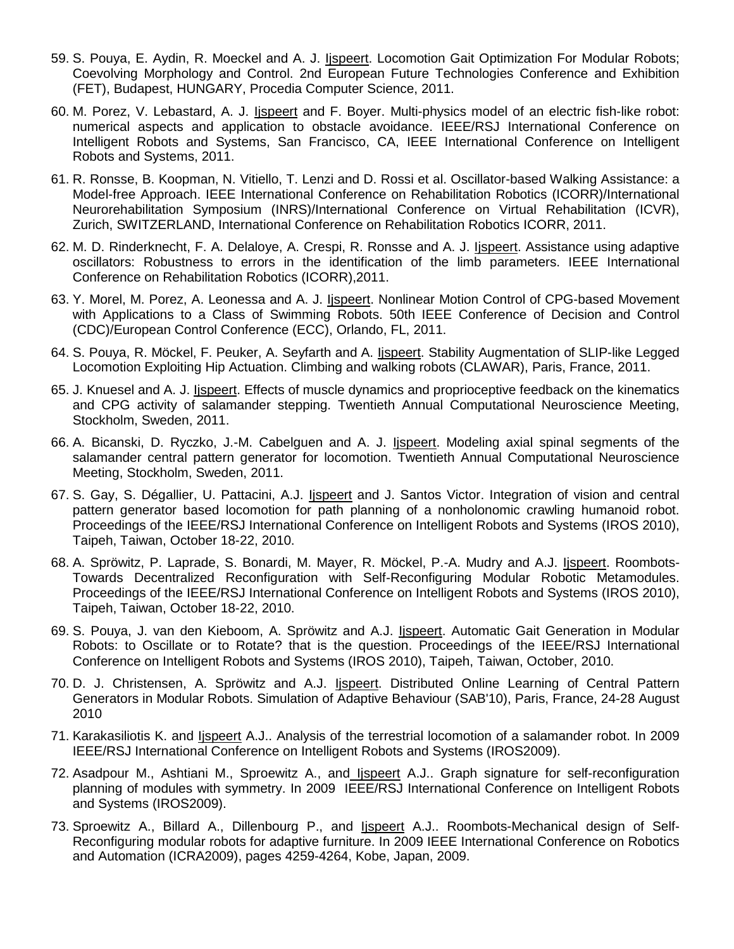- 59. S. Pouya, E. Aydin, R. Moeckel and A. J. *Ijspeert*. Locomotion Gait Optimization For Modular Robots; Coevolving Morphology and Control. 2nd European Future Technologies Conference and Exhibition (FET), Budapest, HUNGARY, Procedia Computer Science, 2011.
- 60. M. Porez, V. Lebastard, A. J. Ijspeert and F. Boyer. Multi-physics model of an electric fish-like robot: numerical aspects and application to obstacle avoidance. IEEE/RSJ International Conference on Intelligent Robots and Systems, San Francisco, CA, IEEE International Conference on Intelligent Robots and Systems, 2011.
- 61. R. Ronsse, B. Koopman, N. Vitiello, T. Lenzi and D. Rossi et al. Oscillator-based Walking Assistance: a Model-free Approach. IEEE International Conference on Rehabilitation Robotics (ICORR)/International Neurorehabilitation Symposium (INRS)/International Conference on Virtual Rehabilitation (ICVR), Zurich, SWITZERLAND, International Conference on Rehabilitation Robotics ICORR, 2011.
- 62. M. D. Rinderknecht, F. A. Delaloye, A. Crespi, R. Ronsse and A. J. Ijspeert. Assistance using adaptive oscillators: Robustness to errors in the identification of the limb parameters. IEEE International Conference on Rehabilitation Robotics (ICORR),2011.
- 63. Y. Morel, M. Porez, A. Leonessa and A. J. Ijspeert. Nonlinear Motion Control of CPG-based Movement with Applications to a Class of Swimming Robots. 50th IEEE Conference of Decision and Control (CDC)/European Control Conference (ECC), Orlando, FL, 2011.
- 64. S. Pouya, R. Möckel, F. Peuker, A. Seyfarth and A. Ijspeert. Stability Augmentation of SLIP-like Legged Locomotion Exploiting Hip Actuation. Climbing and walking robots (CLAWAR), Paris, France, 2011.
- 65. J. Knuesel and A. J. Ijspeert. Effects of muscle dynamics and proprioceptive feedback on the kinematics and CPG activity of salamander stepping. Twentieth Annual Computational Neuroscience Meeting, Stockholm, Sweden, 2011.
- 66. A. Bicanski, D. Ryczko, J.-M. Cabelguen and A. J. Ijspeert. Modeling axial spinal segments of the salamander central pattern generator for locomotion. Twentieth Annual Computational Neuroscience Meeting, Stockholm, Sweden, 2011.
- 67. S. Gay, S. Dégallier, U. Pattacini, A.J. Ijspeert and J. Santos Victor. Integration of vision and central pattern generator based locomotion for path planning of a nonholonomic crawling humanoid robot. Proceedings of the IEEE/RSJ International Conference on Intelligent Robots and Systems (IROS 2010), Taipeh, Taiwan, October 18-22, 2010.
- 68. A. Spröwitz, P. Laprade, S. Bonardi, M. Mayer, R. Möckel, P.-A. Mudry and A.J. Ijspeert. Roombots-Towards Decentralized Reconfiguration with Self-Reconfiguring Modular Robotic Metamodules. Proceedings of the IEEE/RSJ International Conference on Intelligent Robots and Systems (IROS 2010), Taipeh, Taiwan, October 18-22, 2010.
- 69. S. Pouya, J. van den Kieboom, A. Spröwitz and A.J. *Ijspeert*. Automatic Gait Generation in Modular Robots: to Oscillate or to Rotate? that is the question. Proceedings of the IEEE/RSJ International Conference on Intelligent Robots and Systems (IROS 2010), Taipeh, Taiwan, October, 2010.
- 70. D. J. Christensen, A. Spröwitz and A.J. Ijspeert. Distributed Online Learning of Central Pattern Generators in Modular Robots. Simulation of Adaptive Behaviour (SAB'10), Paris, France, 24-28 August 2010
- 71. Karakasiliotis K. and Ijspeert A.J.. Analysis of the terrestrial locomotion of a salamander robot. In 2009 IEEE/RSJ International Conference on Intelligent Robots and Systems (IROS2009).
- 72. Asadpour M., Ashtiani M., Sproewitz A., and Ijspeert A.J.. Graph signature for self-reconfiguration planning of modules with symmetry. In 2009 IEEE/RSJ International Conference on Intelligent Robots and Systems (IROS2009).
- 73. Sproewitz A., Billard A., Dillenbourg P., and Ijspeert A.J.. Roombots-Mechanical design of Self-Reconfiguring modular robots for adaptive furniture. In 2009 IEEE International Conference on Robotics and Automation (ICRA2009), pages 4259-4264, Kobe, Japan, 2009.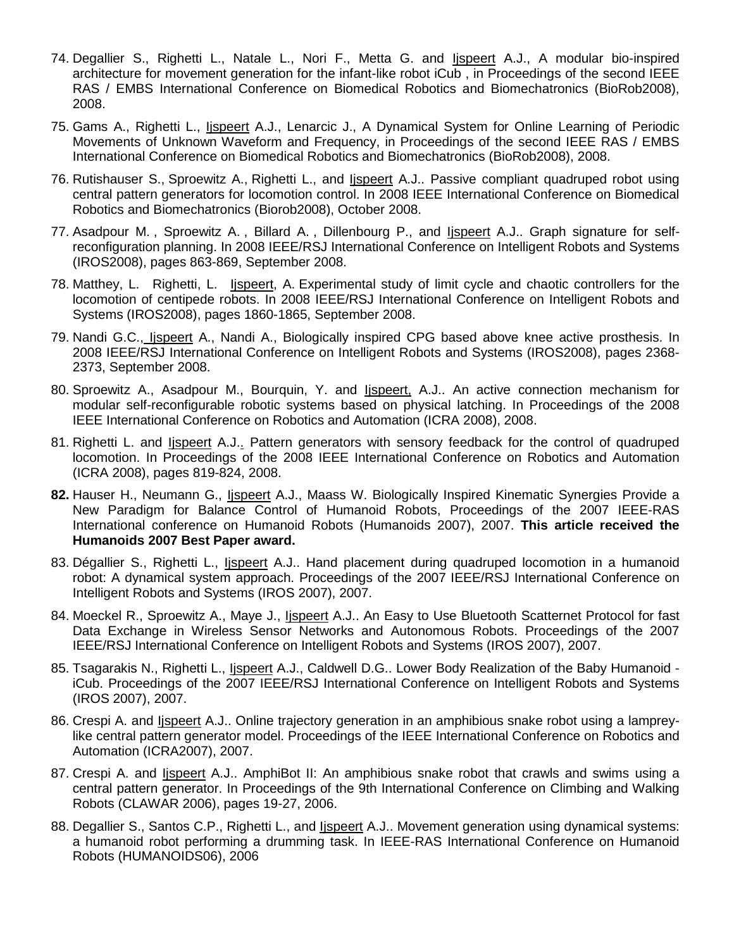- 74. Degallier S., Righetti L., Natale L., Nori F., Metta G. and Ijspeert A.J., A modular bio-inspired architecture for movement generation for the infant-like robot iCub , in Proceedings of the second IEEE RAS / EMBS International Conference on Biomedical Robotics and Biomechatronics (BioRob2008), 2008.
- 75. Gams A., Righetti L., Ijspeert A.J., Lenarcic J., A Dynamical System for Online Learning of Periodic Movements of Unknown Waveform and Frequency, in Proceedings of the second IEEE RAS / EMBS International Conference on Biomedical Robotics and Biomechatronics (BioRob2008), 2008.
- 76. Rutishauser S., Sproewitz A., Righetti L., and Ijspeert A.J.. Passive compliant quadruped robot using central pattern generators for locomotion control. In 2008 IEEE International Conference on Biomedical Robotics and Biomechatronics (Biorob2008), October 2008.
- 77. Asadpour M. , Sproewitz A. , Billard A. , Dillenbourg P., and Ijspeert A.J.. Graph signature for selfreconfiguration planning. In 2008 IEEE/RSJ International Conference on Intelligent Robots and Systems (IROS2008), pages 863-869, September 2008.
- 78. Matthey, L. Righetti, L. Ijspeert, A. Experimental study of limit cycle and chaotic controllers for the locomotion of centipede robots. In 2008 IEEE/RSJ International Conference on Intelligent Robots and Systems (IROS2008), pages 1860-1865, September 2008.
- 79. Nandi G.C., Ijspeert A., Nandi A., Biologically inspired CPG based above knee active prosthesis. In 2008 IEEE/RSJ International Conference on Intelligent Robots and Systems (IROS2008), pages 2368- 2373, September 2008.
- 80. Sproewitz A., Asadpour M., Bourquin, Y. and Ijspeert, A.J.. An active connection mechanism for modular self-reconfigurable robotic systems based on physical latching. In Proceedings of the 2008 IEEE International Conference on Robotics and Automation (ICRA 2008), 2008.
- 81. Righetti L. and Ijspeert A.J.. Pattern generators with sensory feedback for the control of quadruped locomotion. In Proceedings of the 2008 IEEE International Conference on Robotics and Automation (ICRA 2008), pages 819-824, 2008.
- **82.** Hauser H., Neumann G., Ijspeert A.J., Maass W. Biologically Inspired Kinematic Synergies Provide a New Paradigm for Balance Control of Humanoid Robots, Proceedings of the 2007 IEEE-RAS International conference on Humanoid Robots (Humanoids 2007), 2007. **This article received the Humanoids 2007 Best Paper award.**
- 83. Dégallier S., Righetti L., Ijspeert A.J.. Hand placement during quadruped locomotion in a humanoid robot: A dynamical system approach. Proceedings of the 2007 IEEE/RSJ International Conference on Intelligent Robots and Systems (IROS 2007), 2007.
- 84. Moeckel R., Sproewitz A., Maye J., Ijspeert A.J.. An Easy to Use Bluetooth Scatternet Protocol for fast Data Exchange in Wireless Sensor Networks and Autonomous Robots. Proceedings of the 2007 IEEE/RSJ International Conference on Intelligent Robots and Systems (IROS 2007), 2007.
- 85. Tsagarakis N., Righetti L., Ijspeert A.J., Caldwell D.G.. Lower Body Realization of the Baby Humanoid iCub. Proceedings of the 2007 IEEE/RSJ International Conference on Intelligent Robots and Systems (IROS 2007), 2007.
- 86. Crespi A. and Ijspeert A.J.. Online trajectory generation in an amphibious snake robot using a lampreylike central pattern generator model. Proceedings of the IEEE International Conference on Robotics and Automation (ICRA2007), 2007.
- 87. Crespi A. and Ijspeert A.J.. AmphiBot II: An amphibious snake robot that crawls and swims using a central pattern generator. In Proceedings of the 9th International Conference on Climbing and Walking Robots (CLAWAR 2006), pages 19-27, 2006.
- 88. Degallier S., Santos C.P., Righetti L., and Ijspeert A.J.. Movement generation using dynamical systems: a humanoid robot performing a drumming task. In IEEE-RAS International Conference on Humanoid Robots (HUMANOIDS06), 2006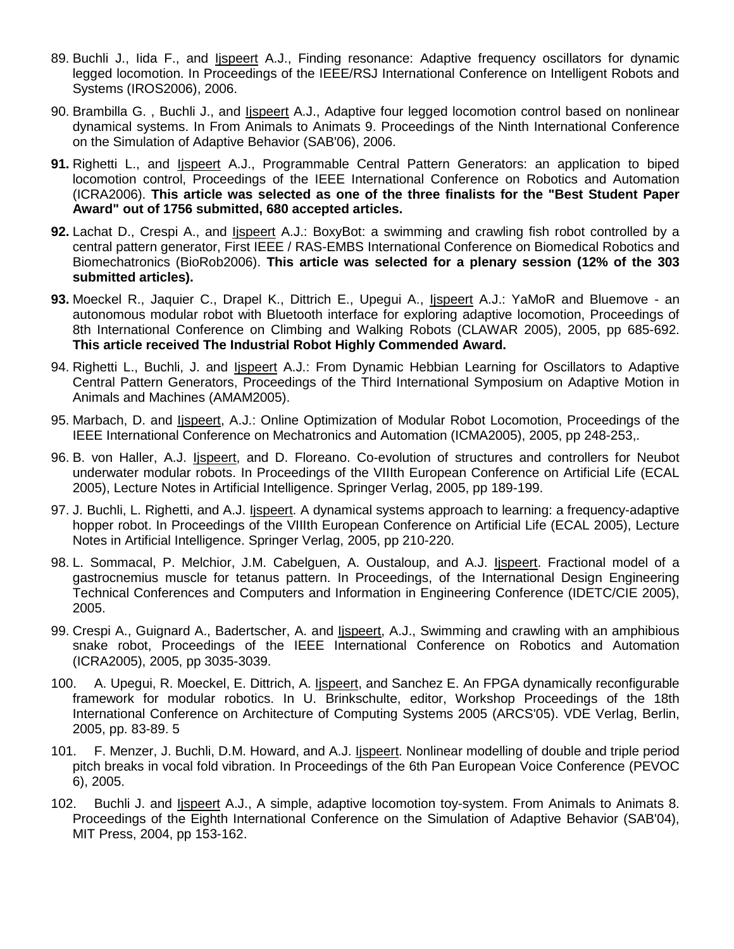- 89. Buchli J., Iida F., and Ijspeert A.J., Finding resonance: Adaptive frequency oscillators for dynamic legged locomotion. In Proceedings of the IEEE/RSJ International Conference on Intelligent Robots and Systems (IROS2006), 2006.
- 90. Brambilla G., Buchli J., and *Ispeert A.J.*, Adaptive four legged locomotion control based on nonlinear dynamical systems. In From Animals to Animats 9. Proceedings of the Ninth International Conference on the Simulation of Adaptive Behavior (SAB'06), 2006.
- **91.** Righetti L., and Ijspeert A.J., Programmable Central Pattern Generators: an application to biped locomotion control, Proceedings of the IEEE International Conference on Robotics and Automation (ICRA2006). **This article was selected as one of the three finalists for the "Best Student Paper Award" out of 1756 submitted, 680 accepted articles.**
- **92.** Lachat D., Crespi A., and Ijspeert A.J.: BoxyBot: a swimming and crawling fish robot controlled by a central pattern generator, First IEEE / RAS-EMBS International Conference on Biomedical Robotics and Biomechatronics (BioRob2006). **This article was selected for a plenary session (12% of the 303 submitted articles).**
- **93.** Moeckel R., Jaquier C., Drapel K., Dittrich E., Upegui A., Ijspeert A.J.: YaMoR and Bluemove an autonomous modular robot with Bluetooth interface for exploring adaptive locomotion, Proceedings of 8th International Conference on Climbing and Walking Robots (CLAWAR 2005), 2005, pp 685-692. **This article received The Industrial Robot Highly Commended Award.**
- 94. Righetti L., Buchli, J. and *Ispeert A.J.: From Dynamic Hebbian Learning for Oscillators to Adaptive* Central Pattern Generators, Proceedings of the Third International Symposium on Adaptive Motion in Animals and Machines (AMAM2005).
- 95. Marbach, D. and Ijspeert, A.J.: Online Optimization of Modular Robot Locomotion, Proceedings of the IEEE International Conference on Mechatronics and Automation (ICMA2005), 2005, pp 248-253,.
- 96. B. von Haller, A.J. Ijspeert, and D. Floreano. Co-evolution of structures and controllers for Neubot underwater modular robots. In Proceedings of the VIIIth European Conference on Artificial Life (ECAL 2005), Lecture Notes in Artificial Intelligence. Springer Verlag, 2005, pp 189-199.
- 97. J. Buchli, L. Righetti, and A.J. Ijspeert. A dynamical systems approach to learning: a frequency-adaptive hopper robot. In Proceedings of the VIIIth European Conference on Artificial Life (ECAL 2005), Lecture Notes in Artificial Intelligence. Springer Verlag, 2005, pp 210-220.
- 98. L. Sommacal, P. Melchior, J.M. Cabelguen, A. Oustaloup, and A.J. Ijspeert. Fractional model of a gastrocnemius muscle for tetanus pattern. In Proceedings, of the International Design Engineering Technical Conferences and Computers and Information in Engineering Conference (IDETC/CIE 2005), 2005.
- 99. Crespi A., Guignard A., Badertscher, A. and *Ispeert*, A.J., Swimming and crawling with an amphibious snake robot, Proceedings of the IEEE International Conference on Robotics and Automation (ICRA2005), 2005, pp 3035-3039.
- 100. A. Upegui, R. Moeckel, E. Dittrich, A. Ispeert, and Sanchez E. An FPGA dynamically reconfigurable framework for modular robotics. In U. Brinkschulte, editor, Workshop Proceedings of the 18th International Conference on Architecture of Computing Systems 2005 (ARCS'05). VDE Verlag, Berlin, 2005, pp. 83-89. 5
- 101. F. Menzer, J. Buchli, D.M. Howard, and A.J. Ispeert. Nonlinear modelling of double and triple period pitch breaks in vocal fold vibration. In Proceedings of the 6th Pan European Voice Conference (PEVOC 6), 2005.
- 102. Buchli J. and Ijspeert A.J., A simple, adaptive locomotion toy-system. From Animals to Animats 8. Proceedings of the Eighth International Conference on the Simulation of Adaptive Behavior (SAB'04), MIT Press, 2004, pp 153-162.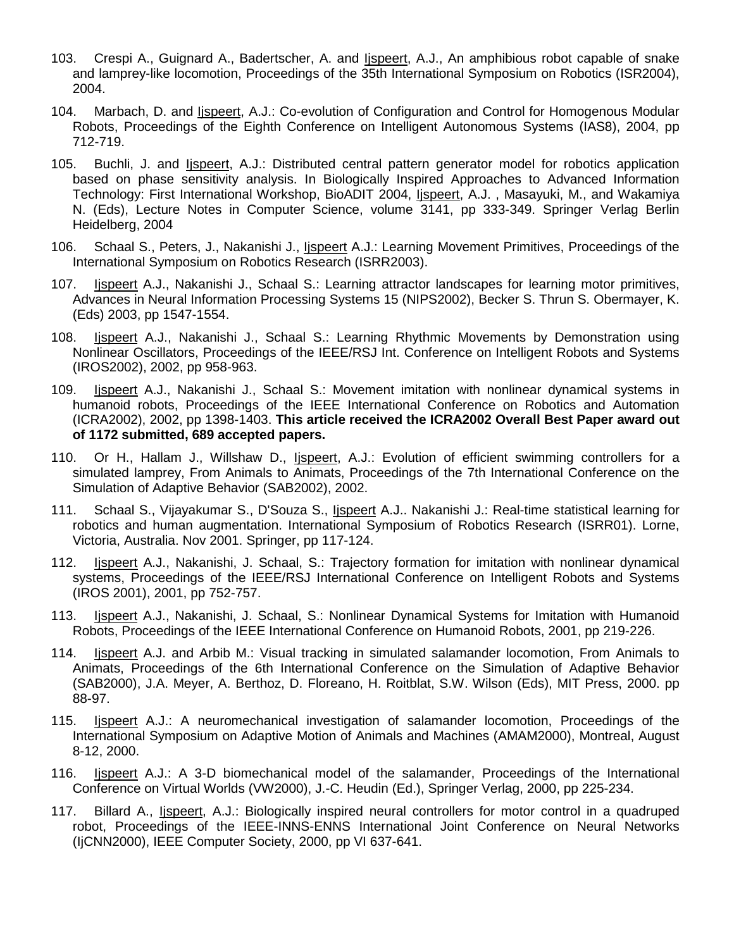- 103. Crespi A., Guignard A., Badertscher, A. and Ijspeert, A.J., An amphibious robot capable of snake and lamprey-like locomotion, Proceedings of the 35th International Symposium on Robotics (ISR2004), 2004.
- 104. Marbach, D. and *Ijspeert*, A.J.: Co-evolution of Configuration and Control for Homogenous Modular Robots, Proceedings of the Eighth Conference on Intelligent Autonomous Systems (IAS8), 2004, pp 712-719.
- 105. Buchli, J. and Ijspeert, A.J.: Distributed central pattern generator model for robotics application based on phase sensitivity analysis. In Biologically Inspired Approaches to Advanced Information Technology: First International Workshop, BioADIT 2004, *Iispeert*, A.J., Masayuki, M., and Wakamiya N. (Eds), Lecture Notes in Computer Science, volume 3141, pp 333-349. Springer Verlag Berlin Heidelberg, 2004
- 106. Schaal S., Peters, J., Nakanishi J., *Ispeert A.J.: Learning Movement Primitives*, Proceedings of the International Symposium on Robotics Research (ISRR2003).
- 107. Ijspeert A.J., Nakanishi J., Schaal S.: Learning attractor landscapes for learning motor primitives, Advances in Neural Information Processing Systems 15 (NIPS2002), Becker S. Thrun S. Obermayer, K. (Eds) 2003, pp 1547-1554.
- 108. Ijspeert A.J., Nakanishi J., Schaal S.: Learning Rhythmic Movements by Demonstration using Nonlinear Oscillators, Proceedings of the IEEE/RSJ Int. Conference on Intelligent Robots and Systems (IROS2002), 2002, pp 958-963.
- 109. Ijspeert A.J., Nakanishi J., Schaal S.: Movement imitation with nonlinear dynamical systems in humanoid robots, Proceedings of the IEEE International Conference on Robotics and Automation (ICRA2002), 2002, pp 1398-1403. **This article received the ICRA2002 Overall Best Paper award out of 1172 submitted, 689 accepted papers.**
- 110. Or H., Hallam J., Willshaw D., Ijspeert, A.J.: Evolution of efficient swimming controllers for a simulated lamprey, From Animals to Animats, Proceedings of the 7th International Conference on the Simulation of Adaptive Behavior (SAB2002), 2002.
- 111. Schaal S., Vijayakumar S., D'Souza S., Ijspeert A.J.. Nakanishi J.: Real-time statistical learning for robotics and human augmentation. International Symposium of Robotics Research (ISRR01). Lorne, Victoria, Australia. Nov 2001. Springer, pp 117-124.
- 112. Ijspeert A.J., Nakanishi, J. Schaal, S.: Trajectory formation for imitation with nonlinear dynamical systems, Proceedings of the IEEE/RSJ International Conference on Intelligent Robots and Systems (IROS 2001), 2001, pp 752-757.
- 113. Ijspeert A.J., Nakanishi, J. Schaal, S.: Nonlinear Dynamical Systems for Imitation with Humanoid Robots, Proceedings of the IEEE International Conference on Humanoid Robots, 2001, pp 219-226.
- 114. Ijspeert A.J. and Arbib M.: Visual tracking in simulated salamander locomotion, From Animals to Animats, Proceedings of the 6th International Conference on the Simulation of Adaptive Behavior (SAB2000), J.A. Meyer, A. Berthoz, D. Floreano, H. Roitblat, S.W. Wilson (Eds), MIT Press, 2000. pp 88-97.
- 115. Ijspeert A.J.: A neuromechanical investigation of salamander locomotion, Proceedings of the International Symposium on Adaptive Motion of Animals and Machines (AMAM2000), Montreal, August 8-12, 2000.
- 116. Ijspeert A.J.: A 3-D biomechanical model of the salamander, Proceedings of the International Conference on Virtual Worlds (VW2000), J.-C. Heudin (Ed.), Springer Verlag, 2000, pp 225-234.
- 117. Billard A., Ijspeert, A.J.: Biologically inspired neural controllers for motor control in a quadruped robot, Proceedings of the IEEE-INNS-ENNS International Joint Conference on Neural Networks (IjCNN2000), IEEE Computer Society, 2000, pp VI 637-641.